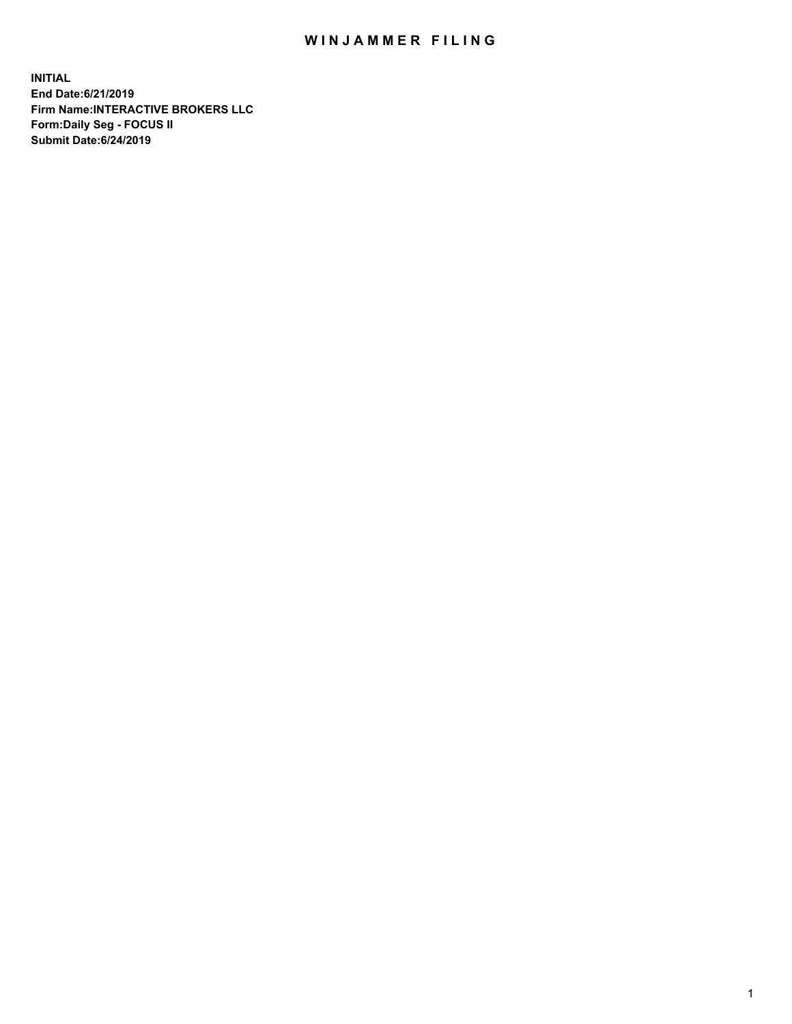## WIN JAMMER FILING

**INITIAL End Date:6/21/2019 Firm Name:INTERACTIVE BROKERS LLC Form:Daily Seg - FOCUS II Submit Date:6/24/2019**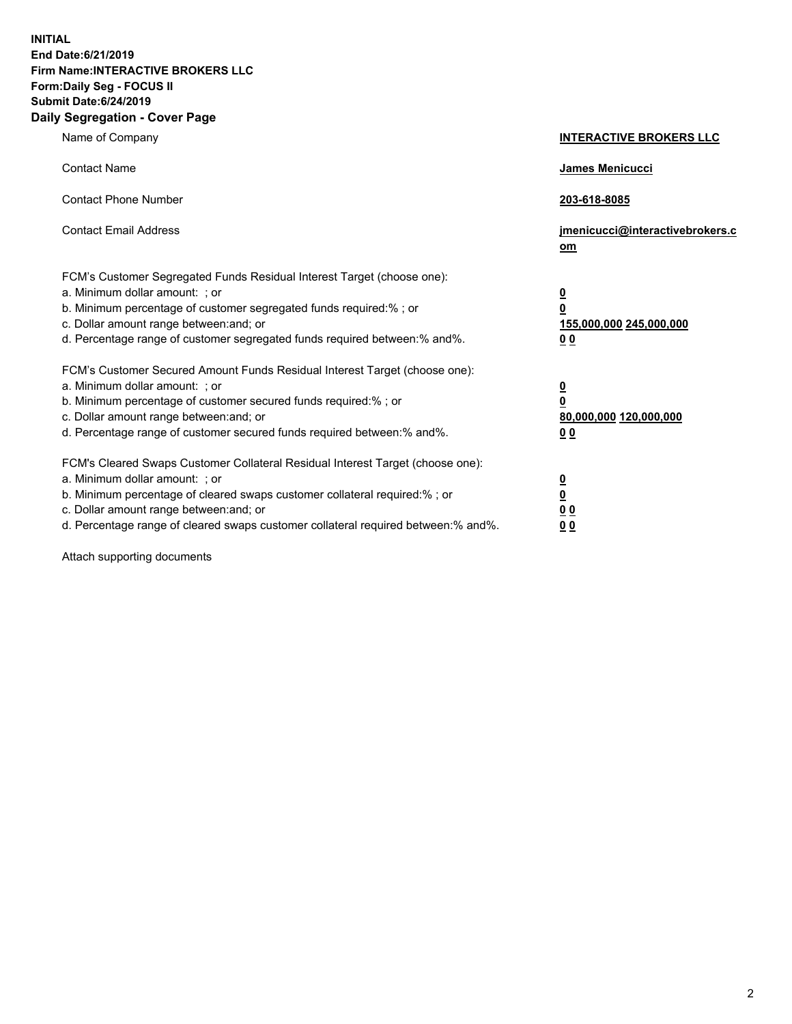**INITIAL End Date:6/21/2019 Firm Name:INTERACTIVE BROKERS LLC Form:Daily Seg - FOCUS II Submit Date:6/24/2019 Daily Segregation - Cover Page**

| Name of Company                                                                                                                                                                                                                                                                                                                | <b>INTERACTIVE BROKERS LLC</b>                                                                  |
|--------------------------------------------------------------------------------------------------------------------------------------------------------------------------------------------------------------------------------------------------------------------------------------------------------------------------------|-------------------------------------------------------------------------------------------------|
| <b>Contact Name</b>                                                                                                                                                                                                                                                                                                            | James Menicucci                                                                                 |
| <b>Contact Phone Number</b>                                                                                                                                                                                                                                                                                                    | 203-618-8085                                                                                    |
| <b>Contact Email Address</b>                                                                                                                                                                                                                                                                                                   | jmenicucci@interactivebrokers.c<br>om                                                           |
| FCM's Customer Segregated Funds Residual Interest Target (choose one):<br>a. Minimum dollar amount: ; or<br>b. Minimum percentage of customer segregated funds required:% ; or<br>c. Dollar amount range between: and; or<br>d. Percentage range of customer segregated funds required between:% and%.                         | $\overline{\mathbf{0}}$<br>$\overline{\mathbf{0}}$<br>155,000,000 245,000,000<br>0 <sub>0</sub> |
| FCM's Customer Secured Amount Funds Residual Interest Target (choose one):<br>a. Minimum dollar amount: ; or<br>b. Minimum percentage of customer secured funds required:% ; or<br>c. Dollar amount range between: and; or<br>d. Percentage range of customer secured funds required between:% and%.                           | $\overline{\mathbf{0}}$<br>0<br>80,000,000 120,000,000<br>0 <sub>0</sub>                        |
| FCM's Cleared Swaps Customer Collateral Residual Interest Target (choose one):<br>a. Minimum dollar amount: ; or<br>b. Minimum percentage of cleared swaps customer collateral required:% ; or<br>c. Dollar amount range between: and; or<br>d. Percentage range of cleared swaps customer collateral required between:% and%. | $\overline{\mathbf{0}}$<br><u>0</u><br>$\underline{0}$ $\underline{0}$<br>00                    |

Attach supporting documents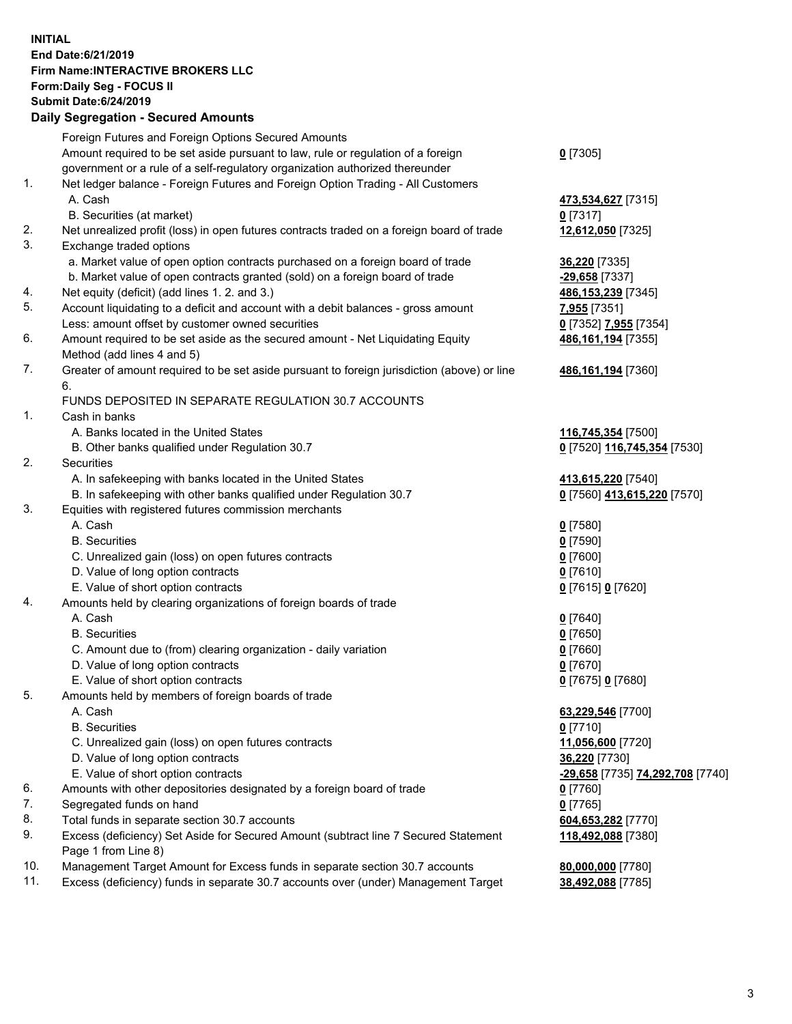## **INITIAL End Date:6/21/2019 Firm Name:INTERACTIVE BROKERS LLC Form:Daily Seg - FOCUS II Submit Date:6/24/2019 Daily Segregation - Secured Amounts**

|     | Daily Segregation - Secured Amounts                                                                                             |                                                      |
|-----|---------------------------------------------------------------------------------------------------------------------------------|------------------------------------------------------|
|     | Foreign Futures and Foreign Options Secured Amounts                                                                             |                                                      |
|     | Amount required to be set aside pursuant to law, rule or regulation of a foreign                                                | $0$ [7305]                                           |
|     | government or a rule of a self-regulatory organization authorized thereunder                                                    |                                                      |
| 1.  | Net ledger balance - Foreign Futures and Foreign Option Trading - All Customers                                                 |                                                      |
|     | A. Cash                                                                                                                         | 473,534,627 [7315]                                   |
|     | B. Securities (at market)                                                                                                       | $0$ [7317]                                           |
| 2.  | Net unrealized profit (loss) in open futures contracts traded on a foreign board of trade                                       | 12,612,050 [7325]                                    |
| 3.  | Exchange traded options                                                                                                         |                                                      |
|     | a. Market value of open option contracts purchased on a foreign board of trade                                                  | 36,220 [7335]                                        |
|     | b. Market value of open contracts granted (sold) on a foreign board of trade                                                    | -29,658 [7337]                                       |
| 4.  | Net equity (deficit) (add lines 1. 2. and 3.)                                                                                   | 486, 153, 239 [7345]                                 |
| 5.  | Account liquidating to a deficit and account with a debit balances - gross amount                                               | 7,955 [7351]                                         |
|     | Less: amount offset by customer owned securities                                                                                | 0 [7352] 7,955 [7354]                                |
| 6.  | Amount required to be set aside as the secured amount - Net Liquidating Equity                                                  | 486, 161, 194 [7355]                                 |
|     | Method (add lines 4 and 5)                                                                                                      |                                                      |
| 7.  | Greater of amount required to be set aside pursuant to foreign jurisdiction (above) or line                                     | 486, 161, 194 [7360]                                 |
|     | 6.                                                                                                                              |                                                      |
|     | FUNDS DEPOSITED IN SEPARATE REGULATION 30.7 ACCOUNTS                                                                            |                                                      |
| 1.  | Cash in banks                                                                                                                   |                                                      |
|     | A. Banks located in the United States                                                                                           | 116,745,354 [7500]                                   |
| 2.  | B. Other banks qualified under Regulation 30.7                                                                                  | 0 [7520] 116,745,354 [7530]                          |
|     | <b>Securities</b>                                                                                                               |                                                      |
|     | A. In safekeeping with banks located in the United States<br>B. In safekeeping with other banks qualified under Regulation 30.7 | 413,615,220 [7540]                                   |
| 3.  | Equities with registered futures commission merchants                                                                           | 0 [7560] 413,615,220 [7570]                          |
|     | A. Cash                                                                                                                         | $0$ [7580]                                           |
|     | <b>B.</b> Securities                                                                                                            | $0$ [7590]                                           |
|     | C. Unrealized gain (loss) on open futures contracts                                                                             | $0$ [7600]                                           |
|     | D. Value of long option contracts                                                                                               | $0$ [7610]                                           |
|     | E. Value of short option contracts                                                                                              | 0 [7615] 0 [7620]                                    |
| 4.  | Amounts held by clearing organizations of foreign boards of trade                                                               |                                                      |
|     | A. Cash                                                                                                                         | $0$ [7640]                                           |
|     | <b>B.</b> Securities                                                                                                            | $0$ [7650]                                           |
|     | C. Amount due to (from) clearing organization - daily variation                                                                 | $0$ [7660]                                           |
|     | D. Value of long option contracts                                                                                               | $0$ [7670]                                           |
|     | E. Value of short option contracts                                                                                              | 0 [7675] 0 [7680]                                    |
| 5.  | Amounts held by members of foreign boards of trade                                                                              |                                                      |
|     | A. Cash                                                                                                                         | 63,229,546 [7700]                                    |
|     | <b>B.</b> Securities                                                                                                            | $0$ [7710]                                           |
|     | C. Unrealized gain (loss) on open futures contracts                                                                             | 11,056,600 [7720]                                    |
|     | D. Value of long option contracts                                                                                               | 36,220 [7730]                                        |
|     | E. Value of short option contracts                                                                                              | <u>-29,658</u> [7735] <mark>74,292,708</mark> [7740] |
| 6.  | Amounts with other depositories designated by a foreign board of trade                                                          | $0$ [7760]                                           |
| 7.  | Segregated funds on hand                                                                                                        | $0$ [7765]                                           |
| 8.  | Total funds in separate section 30.7 accounts                                                                                   | 604,653,282 [7770]                                   |
| 9.  | Excess (deficiency) Set Aside for Secured Amount (subtract line 7 Secured Statement                                             | 118,492,088 [7380]                                   |
|     | Page 1 from Line 8)                                                                                                             |                                                      |
| 10. | Management Target Amount for Excess funds in separate section 30.7 accounts                                                     | 80,000,000 [7780]                                    |
| 11. | Excess (deficiency) funds in separate 30.7 accounts over (under) Management Target                                              | 38,492,088 [7785]                                    |
|     |                                                                                                                                 |                                                      |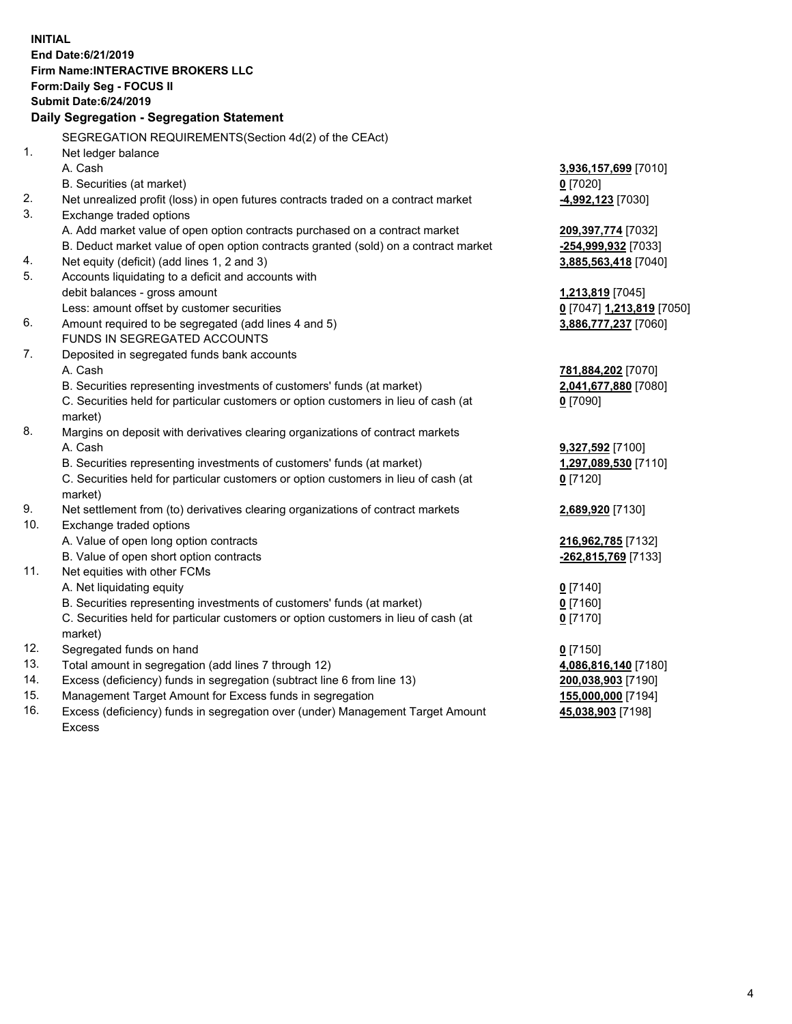**INITIAL End Date:6/21/2019 Firm Name:INTERACTIVE BROKERS LLC Form:Daily Seg - FOCUS II Submit Date:6/24/2019 Daily Segregation - Segregation Statement** SEGREGATION REQUIREMENTS(Section 4d(2) of the CEAct) 1. Net ledger balance A. Cash **3,936,157,699** [7010] B. Securities (at market) **0** [7020] 2. Net unrealized profit (loss) in open futures contracts traded on a contract market **-4,992,123** [7030] 3. Exchange traded options A. Add market value of open option contracts purchased on a contract market **209,397,774** [7032] B. Deduct market value of open option contracts granted (sold) on a contract market **-254,999,932** [7033] 4. Net equity (deficit) (add lines 1, 2 and 3) **3,885,563,418** [7040] 5. Accounts liquidating to a deficit and accounts with debit balances - gross amount **1,213,819** [7045] Less: amount offset by customer securities **0** [7047] **1,213,819** [7050] 6. Amount required to be segregated (add lines 4 and 5) **3,886,777,237** [7060] FUNDS IN SEGREGATED ACCOUNTS 7. Deposited in segregated funds bank accounts A. Cash **781,884,202** [7070] B. Securities representing investments of customers' funds (at market) **2,041,677,880** [7080] C. Securities held for particular customers or option customers in lieu of cash (at market) **0** [7090] 8. Margins on deposit with derivatives clearing organizations of contract markets A. Cash **9,327,592** [7100] B. Securities representing investments of customers' funds (at market) **1,297,089,530** [7110] C. Securities held for particular customers or option customers in lieu of cash (at market) **0** [7120] 9. Net settlement from (to) derivatives clearing organizations of contract markets **2,689,920** [7130] 10. Exchange traded options A. Value of open long option contracts **216,962,785** [7132] B. Value of open short option contracts **-262,815,769** [7133] 11. Net equities with other FCMs A. Net liquidating equity **0** [7140] B. Securities representing investments of customers' funds (at market) **0** [7160] C. Securities held for particular customers or option customers in lieu of cash (at market) **0** [7170] 12. Segregated funds on hand **0** [7150] 13. Total amount in segregation (add lines 7 through 12) **4,086,816,140** [7180] 14. Excess (deficiency) funds in segregation (subtract line 6 from line 13) **200,038,903** [7190] 15. Management Target Amount for Excess funds in segregation **155,000,000** [7194]

16. Excess (deficiency) funds in segregation over (under) Management Target Amount Excess

**45,038,903** [7198]